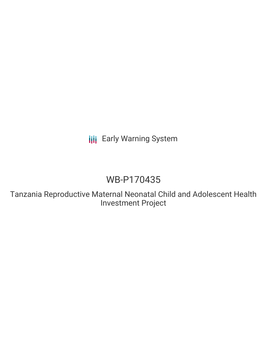**III** Early Warning System

# WB-P170435

Tanzania Reproductive Maternal Neonatal Child and Adolescent Health Investment Project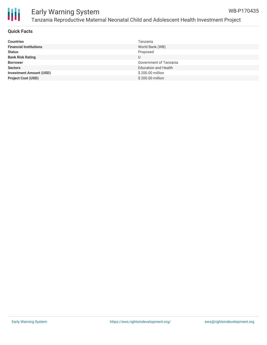

#### **Quick Facts**

| <b>Countries</b>               | Tanzania                    |
|--------------------------------|-----------------------------|
| <b>Financial Institutions</b>  | World Bank (WB)             |
| <b>Status</b>                  | Proposed                    |
| <b>Bank Risk Rating</b>        |                             |
| <b>Borrower</b>                | Government of Tanzania      |
| <b>Sectors</b>                 | <b>Education and Health</b> |
| <b>Investment Amount (USD)</b> | \$200.00 million            |
| <b>Project Cost (USD)</b>      | \$200.00 million            |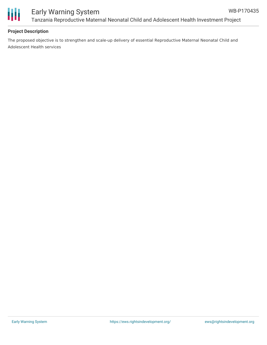



# Early Warning System Tanzania Reproductive Maternal Neonatal Child and Adolescent Health Investment Project

## **Project Description**

The proposed objective is to strengthen and scale-up delivery of essential Reproductive Maternal Neonatal Child and Adolescent Health services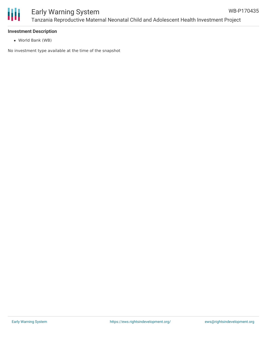

#### **Investment Description**

World Bank (WB)

No investment type available at the time of the snapshot